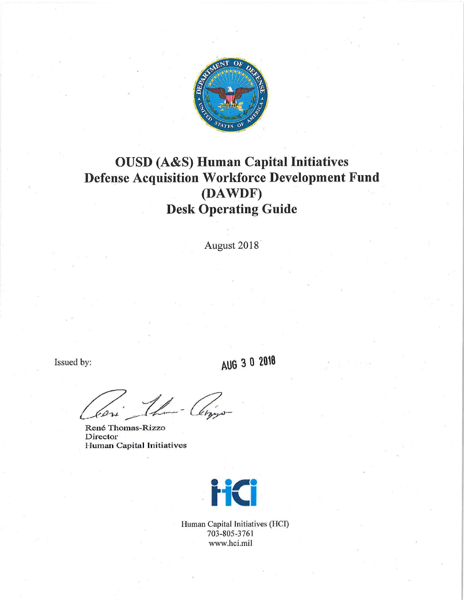

# **OUSD (A&S) Human Capital Initiatives Defense Acquisition Workforce Development Fund (DAWDF) Desk Operating Guide**

August 2018

Issued by:

**AUG 3 0 2018** 

U-Clipp

René Thomas-Rizzo **Director** Human Capital Initiatives



Human Capital Initiatives (HCI) 703-805-3761 www.hci.mil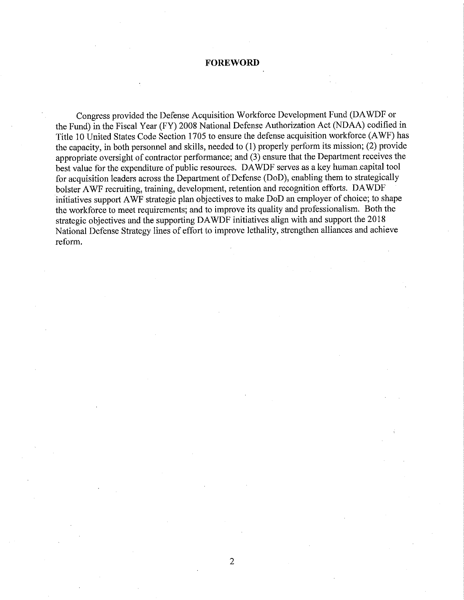# **FOREWORD**

Congress provided the Defense Acquisition Workforce Development Fund (DA WDF or the Fund) in the Fiscal Year (FY) 2008 National Defense Authorization Act (NOAA) codified in Title 10 United States Code Section 1705 to ensure the defense acquisition workforce (AWF) has the capacity, in both personnel and skills, needed to (I) properly perform its mission; (2) provide appropriate oversight of contractor performance; and (3) ensure that the Department receives the best value for the expenditure of public resources. DA WDF serves as a key human capital tool for acquisition leaders across the Department of Defense (DoD), enabling them to strategically bolster AWF recruiting, training, development, retention and recognition efforts. DAWDF initiatives support AWF strategic plan objectives to make DoD an employer of choice; to shape the workforce to meet requirements; and to improve its quality and professionalism. Both the strategic objectives and the supporting DAWDF initiatives align with and support the 2018 National Defense Strategy lines of effort to improve lethality, strengthen alliances and achieve reform.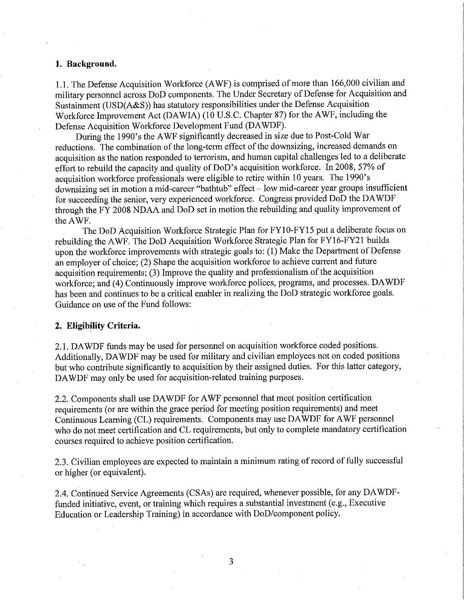## **1. Background.**

1.1. The Defense Acquisition Workforce (A WF) is comprised of more than 166,000 civilian and military personnel across DoD components. The Under Secretary of Defense for Acquisition and Sustainment (USD(A&S)) has statutory responsibilities under the Defense Acquisition Workforce Improvement Act (DAWIA) (10 U.S.C. Chapter 87) for the AWF, including the Defense Acquisition Workforce Development Fund (DAWDF).

During the 1990's the A WF significantly decreased in size due to Post-Cold War reductions. The combination of the long-term effect of the downsizing, increased demands on acquisition as the nation responded to terrorism, and human capital challenges led to a deliberate effort to rebuild the capacity and quality of DoD's acquisition workforce. In 2008, 57% of acquisition workforce professionals were eligible to retire within IO years. The 1990' s downsizing set in motion a mid-career "bathtub" effect - low mid-career year groups insufficient for succeeding the senior, very experienced workforce. Congress provided DoD the DA WDF through the FY 2008 NDAA and DoD set in motion the rebuilding and quality improvement of the AWF.

The DoD Acquisition Workforce Strategic Plan for FY10-FY15 put a deliberate focus on rebuilding the AWF. The DoD Acquisition Workforce Strategic Plan for FY16-FY21 builds upon the workforce improvements with strategic goals to: (1) Make the Department of Defense an employer of choice; (2) Shape the acquisition workforce to achieve current and future acquisition requirements; (3) Improve the quality and professionalism of the acquisition workforce; and (4) Continuously improve workforce polices, programs, and processes. DAWDF has been and continues to be a critical enabler in realizing the DoD strategic workforce goals. Guidance on use of the Fund follows:

## **2. Eligibility Criteria.**

2.1. DA WDF funds may be used for personnel on acquisition workforce coded positions. Additionally, DA WDF may be used for military and civilian employees not on coded positions but who contribute significantly to acquisition by their assigned duties. For this latter category, DA WDF may only be used for acquisition-related training purposes.

2.2. Components shall use DA WDF for A WF personnel that meet position certification requirements (or are within the grace period for meeting position requirements) and meet Continuous Learning (CL) requirements. Components may use DA WDF for A WF personnel who do not meet certification and CL requirements, but only to complete mandatory certification courses required to achieve position certification.

2.3. Civilian employees are expected to maintain a minimum rating of record of fully successful or higher (or equivalent).

2.4. Continued Service Agreements (CSAs) are required, whenever possible, for any DA WDFfunded initiative, event, or training which requires a substantial investment (e.g., Executive Education or Leadership Training) in accordance with DoD/component policy.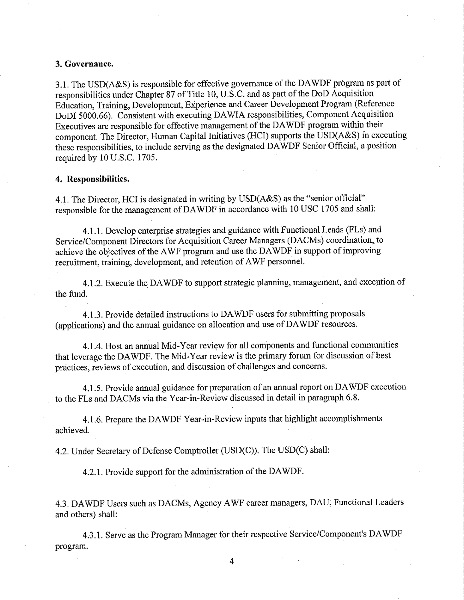#### **3. Governance.**

3.1. The USD(A&S) is responsible for effective governance of the DAWDF program as part of responsibilities under Chapter 87 of Title 10, U.S.C. and as part of the DoD Acquisition Education, Training, Development, Experience and Career Development Program (Reference DoDI 5000.66). Consistent with executing DA WIA responsibilities, Component Acquisition Executives are responsible for effective management of the DA WDF program within their component. The Director, Human Capital Initiatives (HCI) supports the USD(A&S) in executing these responsibilities, to include serving as the designated DA WDF Senior Official, a position required by 10 U.S.C. 1705.

#### **4. Responsibilities.**

4.1. The Director, HCI is designated in writing by USD(A&S) as the "senior official" responsible for the management of DAWDF in accordance with 10 USC 1705 and shall:

4.1.1. Develop enterprise strategies and guidance with Functional Leads (FLs) and Service/Component Directors for Acquisition Career Managers (DACMs) coordination, to achieve the objectives of the A WF program and use the DA WDF in support of improving recruitment, training, development, and retention of AWF personnel.

4.1.2. Execute the DA WDF to support strategic planning, management, and execution of the fund.

4.1.3. Provide detailed instructions to DA WDF users for submitting proposals (applications) and the annual guidance on allocation and use of DA WDF resources.

4.1.4. Host an annual Mid-Year review for all components and functional communities that leverage the DA WDF. The Mid-Year review is the primary forum for discussion of best practices, reviews of execution, and discussion of challenges and concerns.

4.1.5. Provide annual guidance for preparation of an annual report on DA WDF execution to the FLs and DACMs via the Year-in-Review discussed in detail in paragraph 6.8.

4.1.6. Prepare the DA WDF Year-in-Review inputs that highlight accomplishments achieved.

4.2. Under Secretary of Defense Comptroller (USD(C)). The USD(C) shall:

4.2.1. Provide support for the administration of the DA WDF.

4.3. DA WDF Users such as DACMs, Agency A WF career managers, DAU, Functional Leaders and others) shall:

4.3.1. Serve as the Program Manager for their respective Service/Component's DA WDF program.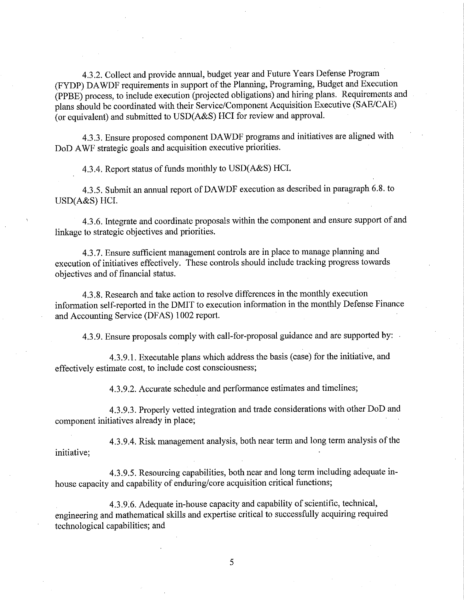4.3.2. Collect and provide annual, budget year and Future Years Defense Program (FYDP) DA WDF requirements in support of the Planning, Programing, Budget and Execution (PPBE) process, to include execution (projected obligations) and hiring plans. Requirements and plans should be coordinated with their Service/Component Acquisition Executive (SAE/CAE) (or equivalent) and submitted to USD(A&S) HCI for review and approval.

4.3.3. Ensure proposed component DAWDF programs and initiatives are aligned with DoD AWF strategic goals and acquisition executive priorities.

4.3.4. Report status of funds monthly to USD(A&S) HCI.

4.3.5. Submit an annual report ofDAWDF execution as described in paragraph 6.8. to USD(A&S) HCI.

4.3.6. Integrate and coordinate proposals within the component and ensure support of and linkage to strategic objectives and priorities.

4.3.7. Ensure sufficient management controls are in place to manage planning and execution of initiatives effectively. These controls should include tracking progress towards objectives and of financial status.

4.3.8. Research and take action to resolve differences in the monthly execution information self-reported in the DMIT to execution information in the monthly Defense Finance and Accounting Service (DFAS) I 002 report.

4.3.9. Ensure proposals comply with call-for-proposal guidance and are supported by:

4.3.9.1. Executable plans which address the basis (case) for the initiative, and effectively estimate cost, to include cost consciousness;

4.3.9.2. Accurate schedule and performance estimates and timelines;

4.3.9.3. Properly vetted integration and trade considerations with other DoD and component initiatives already in place;

4.3.9.4. Risk management analysis, both near term and long term analysis of the initiative;

4.3.9.5. Resourcing capabilities, both near and long term including adequate inhouse capacity and capability of enduring/core acquisition critical functions;

4.3.9.6. Adequate in-house capacity and capability of scientific, technical, engineering and mathematical skills and expertise critical to successfully acquiring required technological capabilities; and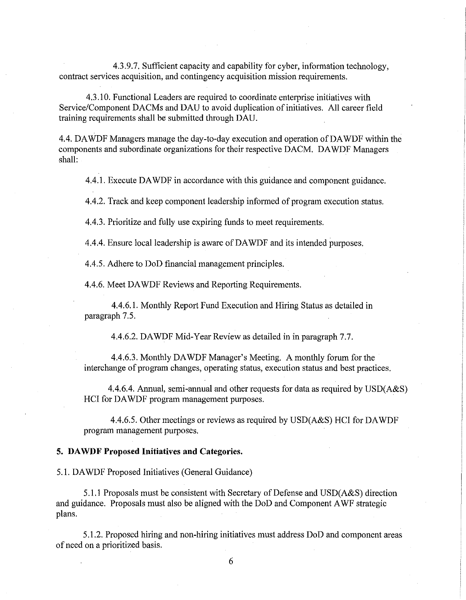4.3.9.7. Sufficient capacity and capability for cyber, information technology, contract services acquisition, and contingency acquisition mission requirements.

4.3.10. Functional Leaders are required to coordinate enterprise initiatives with Service/Component DACMs and DAU to avoid duplication of initiatives. All career field training requirements shall be submitted through DAU.

4.4. DA WDF Managers manage the day-to-day execution and operation of DA WDF within the components and subordinate organizations for their respective DACM. DA WDF Managers shall:

4.4.1. Execute DA WDF in accordance with this guidance and component guidance.

4.4.2. Track and keep component leadership informed of program execution status.

4.4.3. Prioritize and fully use expiring funds to meet requirements.

4.4.4. Ensure local leadership is aware of DA WDF and its intended purposes.

4.4.5. Adhere to DoD financial management principles.

4.4.6. Meet DA WDF Reviews and Reporting Requirements.

4.4.6.1. Monthly Report Fund Execution and Hiring Status as detailed in paragraph 7.5.

4.4.6.2. DA WDF Mid-Year Review as detailed in in paragraph 7.7.

4.4.6.3. Monthly DA WDF Manager's Meeting. A monthly forum for the interchange of program changes, operating status, execution status and best practices.

4.4.6.4. Annual, semi-annual and other requests for data as required by USD(A&S) HCI for DA WDF program management purposes.

4.4.6.5. Other meetings or reviews as required by USD(A&S) HCI for DAWDF program management purposes.

## **5. DA WDF Proposed Initiatives and Categories.**

5.1. DA WDF Proposed Initiatives (General Guidance)

5.1.1 Proposals must be consistent with Secretary of Defense and USD(A&S) direction and guidance. Proposals must also be aligned with the DoD and Component A WF strategic plans.

5 .1.2. Proposed hiring and non-hiring initiatives must address DoD and component areas of need on a prioritized basis.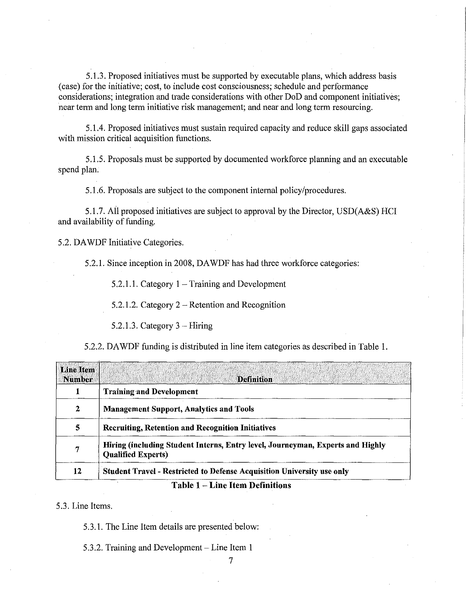5.1.3. Proposed initiatives must be supported by executable plans, which address basis (case) for the initiative; cost, to include cost consciousness; schedule and performance considerations; integration and trade considerations with other DoD and component initiatives; near term and long term initiative risk management; and near and long term resourcing.

5.1.4. Proposed initiatives must sustain required capacity and reduce skill gaps associated with mission critical acquisition functions.

5.1.5. Proposals must be supported by documented workforce planning and an executable spend plan.

5.1.6. Proposals are subject to the component internal policy/procedures.

5.1.7. All proposed initiatives are subject to approval by the Director, USD(A&S) HCI and availability of funding.

5.2. DA WDF Initiative Categories.

5.2.1. Since inception in 2008, DA WDF has had three workforce categories:

 $5.2.1.1$ . Category  $1 -$ Training and Development

5.2.1.2. Category  $2 -$  Retention and Recognition

 $5.2.1.3$ . Category  $3$  – Hiring

5.2.2. DA WDF funding is distributed in line item categories as described in Table 1.

| <b>Line Item</b><br><b>Number</b> | <b>Definition</b>                                                                                           |
|-----------------------------------|-------------------------------------------------------------------------------------------------------------|
|                                   | <b>Training and Development</b>                                                                             |
| 2                                 | <b>Management Support, Analytics and Tools</b>                                                              |
| 5                                 | <b>Recruiting, Retention and Recognition Initiatives</b>                                                    |
| 7                                 | Hiring (including Student Interns, Entry level, Journeyman, Experts and Highly<br><b>Qualified Experts)</b> |
| 12                                | <b>Student Travel - Restricted to Defense Acquisition University use only</b>                               |
|                                   | Takla 1<br>- Line Ham Definitions                                                                           |

#### **Table 1 - Line Item Definitions**

5.3. Line Items.

5.3.1. The Line Item details are presented below:

5.3.2. Training and Development- Line Item I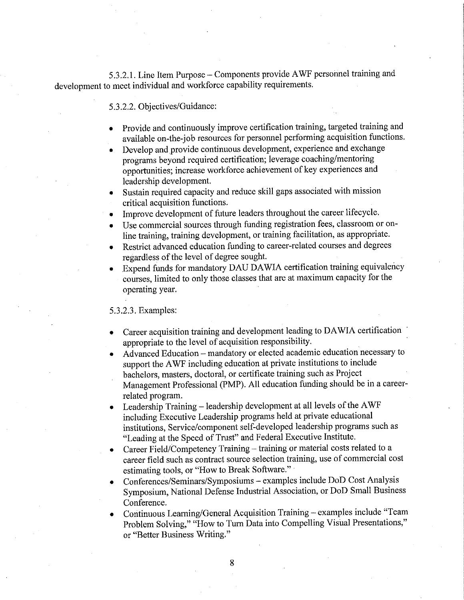5.3.2.1. Line Item Purpose – Components provide AWF personnel training and development to meet individual and workforce capability requirements.

# 5.3.2.2. Objectives/Guidance:

- Provide and continuously improve certification training, targeted training and available on-the-job resources for personnel performing acquisition functions.
- Develop and provide continuous development, experience and exchange programs beyond required certification; leverage coaching/mentoring opportunities; increase workforce achievement of key experiences and leadership development.
- Sustain required capacity and reduce skill gaps associated with mission critical acquisition functions.
- Improve development of future leaders throughout the career lifecycle.
- Use commercial sources through funding registration fees, classroom or online training, training development, or training facilitation, as appropriate.
- Restrict advanced education funding to career-related courses and degrees regardless of the level of degree sought.
- Expend funds for mandatory DAU DAWIA certification training equivalency courses, limited to only those classes that are at maximum capacity for the operating year.

## 5.3.2.3. Examples:

- Career acquisition training and development leading to DAWIA certification appropriate to the level of acquisition responsibility.
- Advanced Education mandatory or elected academic education necessary to support the A WF including education at private institutions to include bachelors, masters, doctoral, or certificate training such as Project Management Professional (PMP). All education funding should be in a careerrelated program.
- Leadership Training leadership development at all levels of the AWF including Executive Leadership programs held at private educational institutions, Service/component self-developed leadership programs such as "Leading at the Speed of Trust" and Federal Executive Institute.
- Career Field/Competency Training training or material costs related to a career field such as contract source selection training, use of commercial cost estimating tools, or "How to Break Software."
- Conferences/Seminars/Symposiums examples include DoD Cost Analysis Symposium, National Defense Industrial Association, or DoD Small Business Conference.
- Continuous Learning/General Acquisition Training examples include "Team Problem Solving," "How to Tum Data into Compelling Visual Presentations," or "Better Business Writing."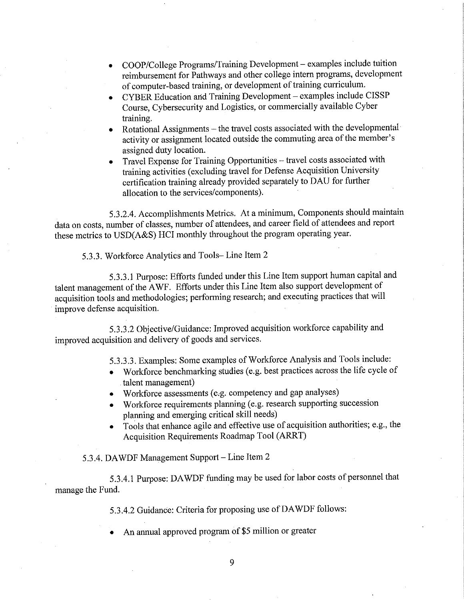- COOP/College Programs/Training Development examples include tuition reimbursement for Pathways and other college intern programs, development of computer-based training, or development of training curriculum.
- CYBER Education and Training Development examples include CISSP Course, Cybersecurity and Logistics, or commercially available Cyber training.
- Rotational Assignments the travel costs associated with the developmental activity or assignment located outside the commuting area of the member's assigned duty location.
- Travel Expense for Training Opportunities travel costs associated with training activities ( excluding travel for Defense Acquisition University certification training already provided separately to DAU for further allocation to the services/components).

5.3.2.4. Accomplishments Metrics. At a minimum, Components should maintain data on costs, number of classes, number of attendees, and career field of attendees and report these metrics to USD(A&S) HCI monthly throughout the program operating year.

5.3.3. Workforce Analytics and Tools- Line Item 2

5.3.3.1 Purpose: Efforts funded under this Line Item support human capital and talent management of the A WF. Efforts under this Line Item also support development of acquisition tools and methodologies; performing research; and executing practices that will improve defense acquisition.

5.3.3.2 Objective/Guidance: Improved acquisition workforce capability and improved acquisition and delivery of goods and services.

5.3.3.3. Examples: Some examples of Workforce Analysis and Tools include:

- Workforce benchmarking studies (e.g. best practices across the life cycle of talent management)
- Workforce assessments (e.g. competency and gap analyses)
- Workforce requirements planning (e.g. research supporting succession planning and emerging critical skill needs)
- Tools that enhance agile and effective use of acquisition authorities; e.g., the Acquisition Requirements Roadmap Tool (ARRT)

5.3.4. DA WDF Management Support- Line Item 2

5.3.4.1 Purpose: DA WDF funding may be used for labor costs of personnel that manage the Fund.

5.3.4.2 Guidance: Criteria for proposing use of DA WDF follows:

• An annual approved program of \$5 million or greater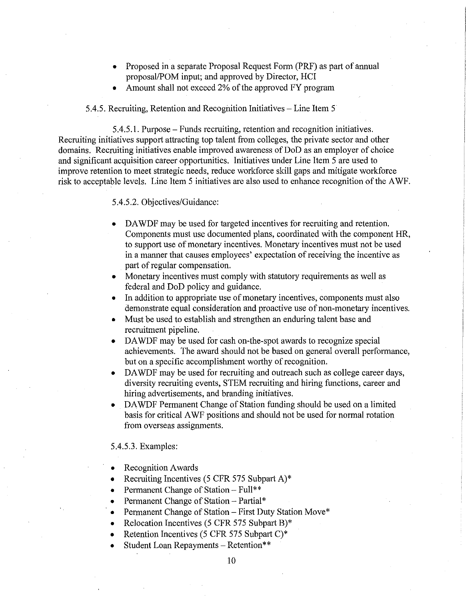- Proposed in a separate Proposal Request Form (PRF) as part of annual proposal/POM input; and approved by Director, HCI
- Amount shall not exceed 2% of the approved FY program

# 5.4.5. Recruiting, Retention and Recognition Initiatives – Line Item 5

5.4.5.1. Purpose - Funds recruiting, retention and recognition initiatives. Recruiting initiatives support attracting top talent from colleges, the private sector and other domains. Recruiting initiatives enable improved awareness of DoD as an employer of choice and significant acquisition career opportunities. Initiatives under Line Item 5 are used to improve retention to meet strategic needs, reduce workforce skill gaps and mitigate workforce risk to acceptable levels. Line Item 5 initiatives are also used to enhance recognition of the AWF.

# 5.4.5.2. Objectives/Guidance:

- DAWDF may be used for targeted incentives for recruiting and retention. Components must use documented plans, coordinated with the component HR, to support use of monetary incentives. Monetary incentives must not be used in a manner that causes employees' expectation of receiving the incentive as part of regular compensation.
- Monetary incentives must comply with statutory requirements as well as federal and DoD policy and guidance.
- In addition to appropriate use of monetary incentives, components must also demonstrate equal consideration and proactive use of non-monetary incentives.
- Must be used to establish and strengthen an enduring talent base and recruitment pipeline.
- DA WDF may be used for cash on-the-spot awards to recognize special achievements. The award should not be based on general overall performance, but on a specific accomplishment worthy of recognition.
- DAWDF may be used for recruiting and outreach such as college career days, diversity recruiting events, STEM recruiting and hiring functions, career and hiring advertisements, and branding initiatives.
- DA WDF Permanent Change of Station funding should be used on a limited basis for critical A WF positions and should not be used for normal rotation from overseas assignments.

## 5.4.5.3. Examples:

- Recognition Awards
- Recruiting Incentives (5 CFR 575 Subpart A)\*
- Permanent Change of Station Full\*\*
- Permanent Change of Station Partial\*
- Permanent Change of Station First Duty Station Move\*
- Relocation Incentives (5 CFR 575 Subpart B)\*
- Retention Incentives (5 CFR 575 Subpart C)\*
- Student Loan Repayments Retention\*\*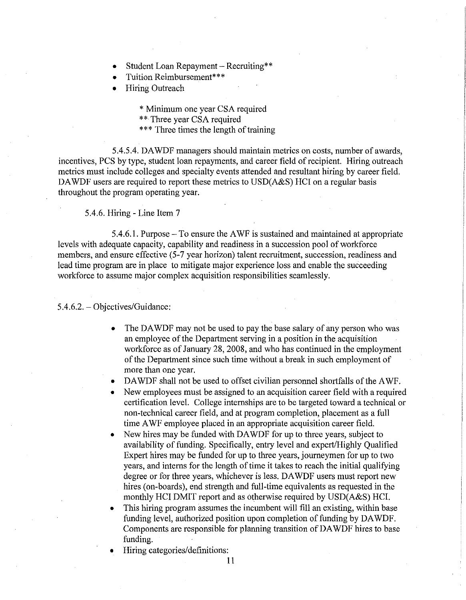- Student Loan Repayment Recruiting\*\*
- Tuition Reimbursement\*\*\*
- **Hiring Outreach**

\* Minimum one year CSA required \*\* Three year CSA required \*\*\* Three times the length of training

5.4.5.4. DA WDF managers should maintain metrics on costs, number of awards, incentives, PCS by type, student loan repayments, and career field of recipient. Hiring outreach metrics must include colleges and specialty events attended and resultant hiring by career field. DAWDF users are required to report these metrics to USD(A&S) HCI on a regular basis throughout the program operating year.

5.4.6. Hiring - Line Item 7

5.4.6.1. Purpose - To ensure the A WF is sustained and maintained at appropriate levels with adequate capacity, capability and readiness in a succession pool of workforce members, and ensure effective (5-7 year horizon) talent recruitment, succession, readiness and lead time program are in place to mitigate major experience loss and enable the succeeding workforce to assume major complex acquisition responsibilities seamlessly.

## 5.4.6.2. - Objectives/Guidance:

- The DAWDF may not be used to pay the base salary of any person who was an employee of the Department serving in a position in the acquisition workforce as of January 28, 2008, and who has continued in the employment of the Department since such time without a break in such employment of more than one year.
- DAWDF shall not be used to offset civilian personnel shortfalls of the AWF.
- New employees must be assigned to an acquisition career field with a required certification level. College internships are to be targeted toward a technical or non-technical career field, and at program completion, placement as a full time A WF employee placed in an appropriate acquisition career field.
- New hires may be funded with DAWDF for up to three years, subject to availability of funding. Specifically, entry level and expert/Highly Qualified Expert hires may be funded for up to three years, journeymen for up to two years, and interns for the length of time it takes to reach the initial qualifying degree or for three years, whichever is less. DA WDF users must report new hires (on-boards), end strength and full-time equivalents as requested in the monthly HCI DMIT report and as otherwise required by USD(A&S) HCI.
- This hiring program assumes the incumbent will fill an existing, within base funding level, authorized position upon completion of funding by DAWDF. Components are responsible for planning transition of DA WDF hires to base funding.
- Hiring categories/definitions: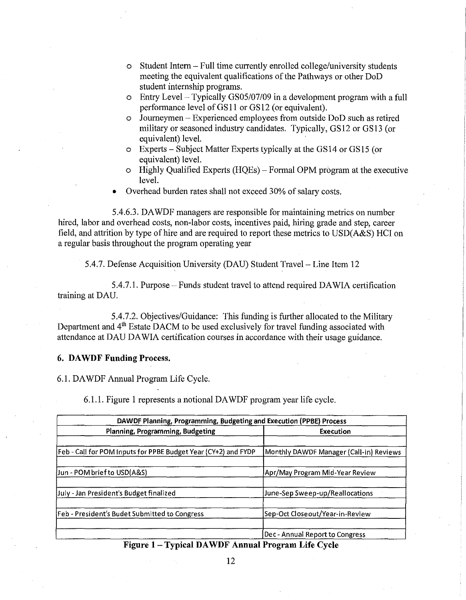- o Student Intern Full time currently enrolled college/university students meeting the equivalent qualifications of the Pathways or other DoD student internship programs.
- o Entry Level Typically GS05/07/09 in a development program with a full performance level of GS11 or GS12 (or equivalent).
- o Journeymen Experienced employees from outside DoD such as retired military or seasoned industry candidates. Typically, GS12 or GS13 (or equivalent) level.
- o Experts Subject Matter Experts typically at the GS 14 or GS 15 ( or equivalent) level.
- o Highly Qualified Experts (HQEs)- Formal OPM program at the executive level.
- Overhead burden rates shall not exceed 30% of salary costs.

5.4.6.3. DA WDF managers are responsible for maintaining metrics on number hired, labor and overhead costs, non-labor costs, incentives paid, hiring grade and step, career field, and attrition by type of hire and are required to report these metrics to USD(A&S) HCI on a regular basis throughout the program operating year

5.4.7. Defense Acquisition University (DAU) Student Travel - Line Item 12

5.4.7.1. Purpose - Funds student travel to attend required DA WIA certification training at DAU.

5.4.7.2. Objectives/Guidance: This funding is further allocated to the Military Department and 4<sup>th</sup> Estate DACM to be used exclusively for travel funding associated with attendance at DAU DA WIA certification courses in accordance with their usage guidance.

## **6. DA WDF Funding Process.**

6.1. DA WDF Annual Program Life Cycle.

6.1.1. Figure I represents a notional DA WDF program year life cycle.

| DAWDF Planning, Programming, Budgeting and Execution (PPBE) Process |                                         |  |
|---------------------------------------------------------------------|-----------------------------------------|--|
| Planning, Programming, Budgeting                                    | <b>Execution</b>                        |  |
| Feb - Call for POM Inputs for PPBE Budget Year (CY+2) and FYDP      | Monthly DAWDF Manager (Call-in) Reviews |  |
| Jun - POM brief to USD(A&S)                                         | Apr/May Program Mid-Year Review         |  |
| July - Jan President's Budget finalized                             | June-Sep Sweep-up/Reallocations         |  |
| Feb - President's Budet Submitted to Congress                       | Sep-Oct Closeout/Year-in-Review         |  |
|                                                                     | Dec - Annual Report to Congress         |  |

**Figure 1** - **Typical DA WDF Annual Program Life Cycle**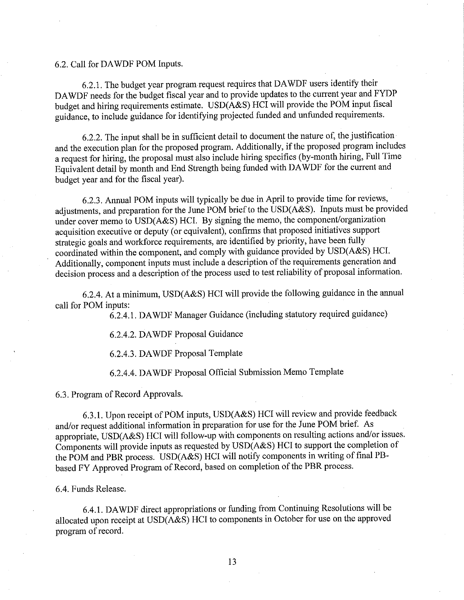## 6.2. Call for DA WDF POM Inputs.

6.2.1. The budget year program request requires that DA WDF users identify their DA WDF needs for the budget fiscal year and to provide updates to the current year and FYDP budget and hiring requirements estimate. USD(A&S) HCI will provide the POM input fiscal guidance, to include guidance for identifying projected funded and unfunded requirements.

6.2.2. The input shall be in sufficient detail to document the nature of, the justification· and the execution plan for the proposed program. Additionally, if the proposed program includes a request for hiring, the proposal must also include hiring specifics (by-month hiring, Full Time Equivalent detail by month and End Strength being funded with DA WDF for the current and budget year and for the fiscal year).

6.2.3. Annual POM inputs will typically be due in April to provide time for reviews, adjustments, and preparation for the June POM brief to the USD(A&S). Inputs must be provided under cover memo to USD(A&S) HCI. By signing the memo, the component/organization acquisition executive or deputy (or equivalent), confirms that proposed initiatives support strategic goals and workforce requirements, are identified by priority, have been fully coordinated within the component, and comply with guidance provided by USD(A&S) HCI. Additionally, component inputs must include a description of the requirements generation and decision process and a description of the process used to test reliability of proposal information.

6.2.4. At a minimum, USD(A&S) HCI will provide the following guidance in the annual call for POM inputs:

6.2.4.1. DA WDF Manager Guidance (including statutory required guidance)

6.2.4.2. DA WDF Proposal Guidance

6.2.4.3. DA WDF Proposal Template

6.2.4.4. DA WDF Proposal Official Submission Memo Template

6.3. Program of Record Approvals.

6.3.1. Upon receipt of POM inputs, USD(A&S) HCI will review and provide feedback and/or request additional information in preparation for use for the June POM brief. As appropriate, USD(A&S) HCI will follow-up with components on resulting actions and/or issues. Components will provide inputs as requested by USD(A&S) HCI to support the completion of the POM and PBR process. USD(A&S) HCI will notify components in writing of final PBbased FY Approved Program of Record, based on completion of the PBR process.

# 6.4. Funds Release.

6.4.1. DA WDF direct appropriations or funding from Continuing Resolutions will be allocated upon receipt at USD(A&S) HCI to components in October for use on the approved program of record.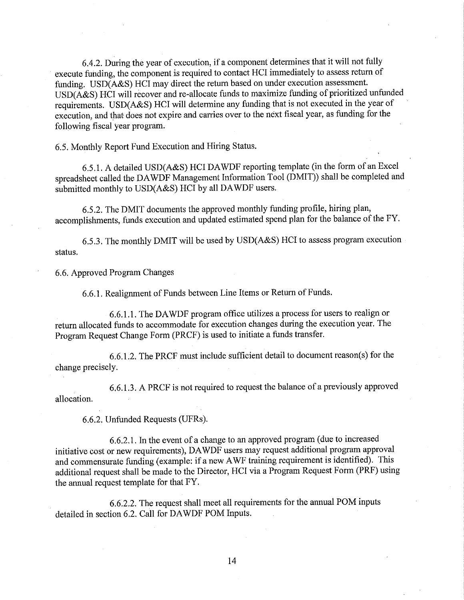6.4.2. During the year of execution, if a component determines that it will not fully execute funding, the component is required to contact HCI immediately to assess return of funding. USD(A&S) HCI may direct the return based on under execution assessment. USD(A&S) HCI will recover and re-allocate funds to maximize funding of prioritized unfunded requirements. USD(A&S) HCI will determine any funding that is not executed in the year of execution, and that does not expire and carries over to the next fiscal year, as funding for the following fiscal year program.

6.5. Monthly Report Fund Execution and Hiring Status.

6.5.1. A detailed USD(A&S) HCI DA WDF reporting template (in the form of an Excel spreadsheet called the DA WDF Management Information Tool (DMIT)) shall be completed and submitted monthly to USD(A&S) HCI by all DAWDF users.

6.5.2. The DMIT documents the approved monthly funding profile, hiring plan, accomplishments, funds execution and updated estimated spend plan for the balance of the FY.

6.5.3. The monthly DMIT will be used by USD(A&S) HCI to assess program execution status.

6.6. Approved Program Changes

6.6.1. Realignment of Funds between Line Items or Return of Funds.

6.6.1.1. The DA WDF program office utilizes a process for users to realign or return allocated funds to accommodate for execution changes during the execution year. The Program Request Change Form (PRCF) is used to initiate a funds transfer.

6.6.1.2. The PRCF must include sufficient detail to document reason(s) for the change precisely.

6.6.1.3. A PRCF is not required to request the balance of a previously approved allocation.

6.6.2. Unfunded Requests (UFRs).

6.6.2.1. In the event of a change to an approved program ( due to increased initiative cost or new requirements), DA WDF users may request additional program approval and commensurate funding (example: if a new AWF training requirement is identified). This additional request shall be made to the Director, HCI via a Program Request Form (PRF) using the annual request template for that FY.

6.6.2.2. The request shall meet all requirements for the annual POM inputs detailed in section 6.2. Call for DA WDF POM Inputs.